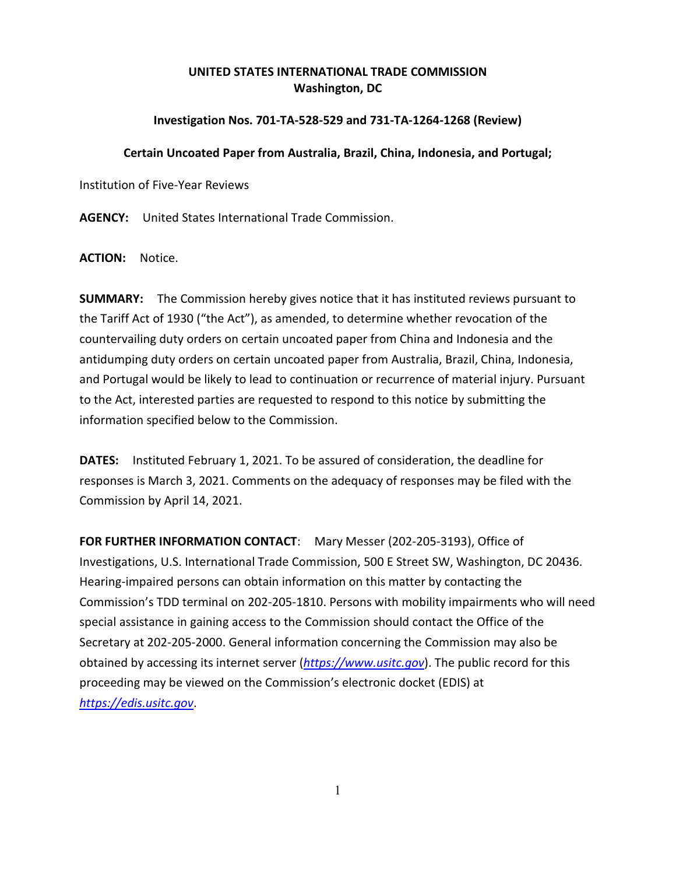## **UNITED STATES INTERNATIONAL TRADE COMMISSION Washington, DC**

## **Investigation Nos. 701-TA-528-529 and 731-TA-1264-1268 (Review)**

## **Certain Uncoated Paper from Australia, Brazil, China, Indonesia, and Portugal;**

Institution of Five-Year Reviews

**AGENCY:** United States International Trade Commission.

**ACTION:** Notice.

**SUMMARY:** The Commission hereby gives notice that it has instituted reviews pursuant to the Tariff Act of 1930 ("the Act"), as amended, to determine whether revocation of the countervailing duty orders on certain uncoated paper from China and Indonesia and the antidumping duty orders on certain uncoated paper from Australia, Brazil, China, Indonesia, and Portugal would be likely to lead to continuation or recurrence of material injury. Pursuant to the Act, interested parties are requested to respond to this notice by submitting the information specified below to the Commission.

**DATES:** Instituted February 1, 2021. To be assured of consideration, the deadline for responses is March 3, 2021. Comments on the adequacy of responses may be filed with the Commission by April 14, 2021.

**FOR FURTHER INFORMATION CONTACT**: Mary Messer (202-205-3193), Office of Investigations, U.S. International Trade Commission, 500 E Street SW, Washington, DC 20436. Hearing-impaired persons can obtain information on this matter by contacting the Commission's TDD terminal on 202-205-1810. Persons with mobility impairments who will need special assistance in gaining access to the Commission should contact the Office of the Secretary at 202-205-2000. General information concerning the Commission may also be obtained by accessing its internet server (*[https://www.usitc.gov](https://www.usitc.gov/)*). The public record for this proceeding may be viewed on the Commission's electronic docket (EDIS) at *[https://edis.usitc.gov](https://edis.usitc.gov/)*.

1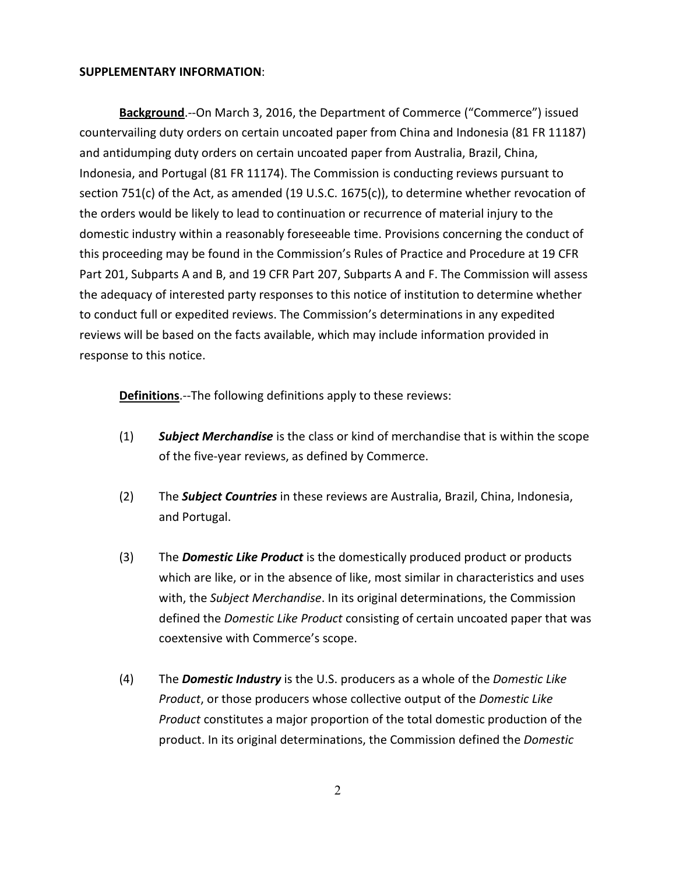## **SUPPLEMENTARY INFORMATION**:

**Background**.--On March 3, 2016, the Department of Commerce ("Commerce") issued countervailing duty orders on certain uncoated paper from China and Indonesia (81 FR 11187) and antidumping duty orders on certain uncoated paper from Australia, Brazil, China, Indonesia, and Portugal (81 FR 11174). The Commission is conducting reviews pursuant to section 751(c) of the Act, as amended (19 U.S.C. 1675(c)), to determine whether revocation of the orders would be likely to lead to continuation or recurrence of material injury to the domestic industry within a reasonably foreseeable time. Provisions concerning the conduct of this proceeding may be found in the Commission's Rules of Practice and Procedure at 19 CFR Part 201, Subparts A and B, and 19 CFR Part 207, Subparts A and F. The Commission will assess the adequacy of interested party responses to this notice of institution to determine whether to conduct full or expedited reviews. The Commission's determinations in any expedited reviews will be based on the facts available, which may include information provided in response to this notice.

**Definitions**.--The following definitions apply to these reviews:

- (1) *Subject Merchandise* is the class or kind of merchandise that is within the scope of the five-year reviews, as defined by Commerce.
- (2) The *Subject Countries* in these reviews are Australia, Brazil, China, Indonesia, and Portugal.
- (3) The *Domestic Like Product* is the domestically produced product or products which are like, or in the absence of like, most similar in characteristics and uses with, the *Subject Merchandise*. In its original determinations, the Commission defined the *Domestic Like Product* consisting of certain uncoated paper that was coextensive with Commerce's scope.
- (4) The *Domestic Industry* is the U.S. producers as a whole of the *Domestic Like Product*, or those producers whose collective output of the *Domestic Like Product* constitutes a major proportion of the total domestic production of the product. In its original determinations, the Commission defined the *Domestic*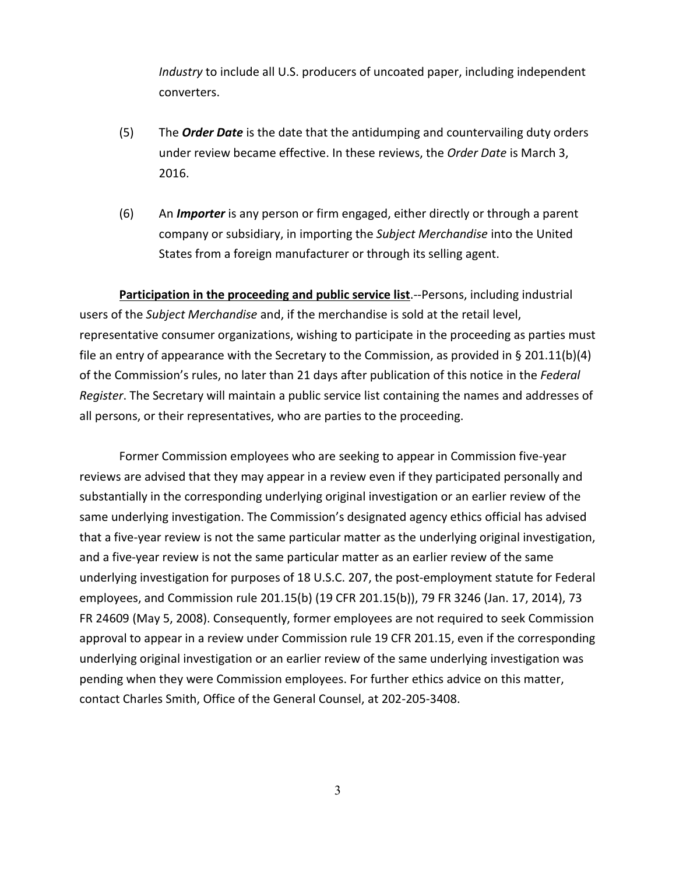*Industry* to include all U.S. producers of uncoated paper, including independent converters.

- (5) The *Order Date* is the date that the antidumping and countervailing duty orders under review became effective. In these reviews, the *Order Date* is March 3, 2016.
- (6) An *Importer* is any person or firm engaged, either directly or through a parent company or subsidiary, in importing the *Subject Merchandise* into the United States from a foreign manufacturer or through its selling agent.

**Participation in the proceeding and public service list**.--Persons, including industrial users of the *Subject Merchandise* and, if the merchandise is sold at the retail level, representative consumer organizations, wishing to participate in the proceeding as parties must file an entry of appearance with the Secretary to the Commission, as provided in § 201.11(b)(4) of the Commission's rules, no later than 21 days after publication of this notice in the *Federal Register*. The Secretary will maintain a public service list containing the names and addresses of all persons, or their representatives, who are parties to the proceeding.

Former Commission employees who are seeking to appear in Commission five-year reviews are advised that they may appear in a review even if they participated personally and substantially in the corresponding underlying original investigation or an earlier review of the same underlying investigation. The Commission's designated agency ethics official has advised that a five-year review is not the same particular matter as the underlying original investigation, and a five-year review is not the same particular matter as an earlier review of the same underlying investigation for purposes of 18 U.S.C. 207, the post-employment statute for Federal employees, and Commission rule 201.15(b) (19 CFR 201.15(b)), 79 FR 3246 (Jan. 17, 2014), 73 FR 24609 (May 5, 2008). Consequently, former employees are not required to seek Commission approval to appear in a review under Commission rule 19 CFR 201.15, even if the corresponding underlying original investigation or an earlier review of the same underlying investigation was pending when they were Commission employees. For further ethics advice on this matter, contact Charles Smith, Office of the General Counsel, at 202-205-3408.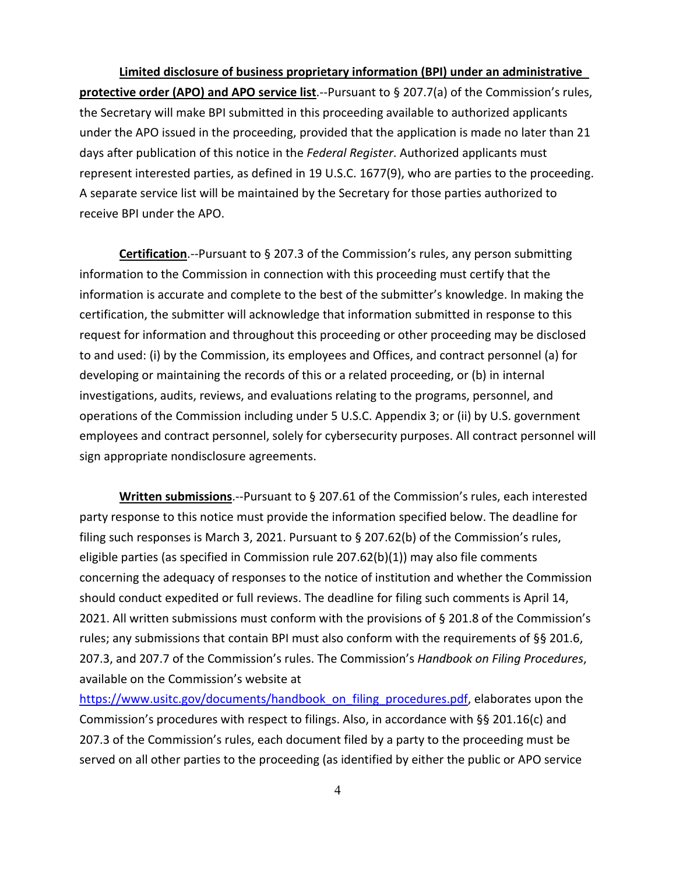**Limited disclosure of business proprietary information (BPI) under an administrative protective order (APO) and APO service list**.--Pursuant to § 207.7(a) of the Commission's rules, the Secretary will make BPI submitted in this proceeding available to authorized applicants under the APO issued in the proceeding, provided that the application is made no later than 21 days after publication of this notice in the *Federal Register*. Authorized applicants must represent interested parties, as defined in 19 U.S.C. 1677(9), who are parties to the proceeding. A separate service list will be maintained by the Secretary for those parties authorized to receive BPI under the APO.

**Certification**.--Pursuant to § 207.3 of the Commission's rules, any person submitting information to the Commission in connection with this proceeding must certify that the information is accurate and complete to the best of the submitter's knowledge. In making the certification, the submitter will acknowledge that information submitted in response to this request for information and throughout this proceeding or other proceeding may be disclosed to and used: (i) by the Commission, its employees and Offices, and contract personnel (a) for developing or maintaining the records of this or a related proceeding, or (b) in internal investigations, audits, reviews, and evaluations relating to the programs, personnel, and operations of the Commission including under 5 U.S.C. Appendix 3; or (ii) by U.S. government employees and contract personnel, solely for cybersecurity purposes. All contract personnel will sign appropriate nondisclosure agreements.

**Written submissions**.--Pursuant to § 207.61 of the Commission's rules, each interested party response to this notice must provide the information specified below. The deadline for filing such responses is March 3, 2021. Pursuant to § 207.62(b) of the Commission's rules, eligible parties (as specified in Commission rule 207.62(b)(1)) may also file comments concerning the adequacy of responses to the notice of institution and whether the Commission should conduct expedited or full reviews. The deadline for filing such comments is April 14, 2021. All written submissions must conform with the provisions of § 201.8 of the Commission's rules; any submissions that contain BPI must also conform with the requirements of §§ 201.6, 207.3, and 207.7 of the Commission's rules. The Commission's *Handbook on Filing Procedures*, available on the Commission's website at

[https://www.usitc.gov/documents/handbook\\_on\\_filing\\_procedures.pdf,](https://www.usitc.gov/documents/handbook_on_filing_procedures.pdf) elaborates upon the Commission's procedures with respect to filings. Also, in accordance with §§ 201.16(c) and 207.3 of the Commission's rules, each document filed by a party to the proceeding must be served on all other parties to the proceeding (as identified by either the public or APO service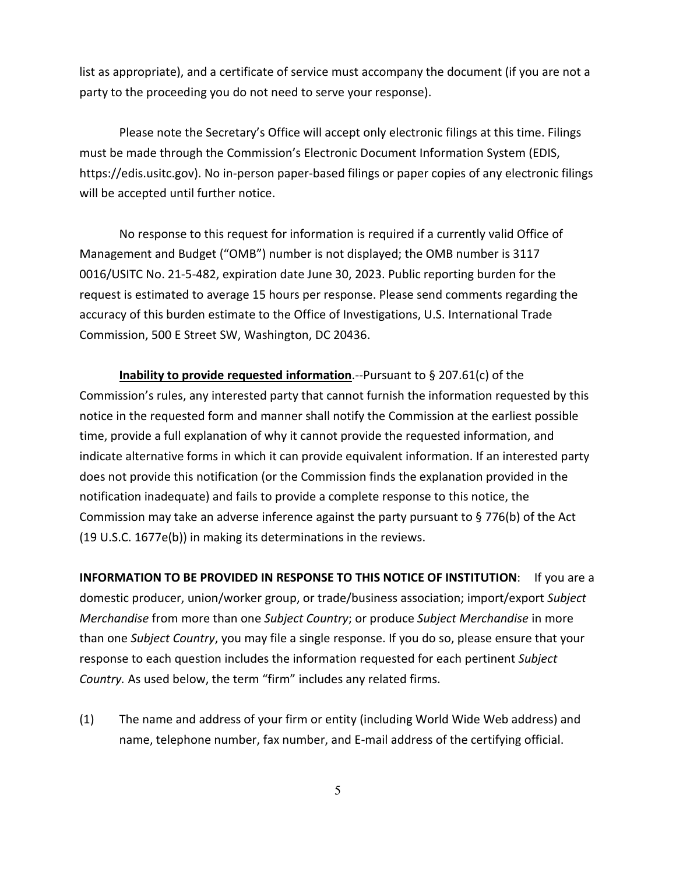list as appropriate), and a certificate of service must accompany the document (if you are not a party to the proceeding you do not need to serve your response).

Please note the Secretary's Office will accept only electronic filings at this time. Filings must be made through the Commission's Electronic Document Information System (EDIS, https://edis.usitc.gov). No in-person paper-based filings or paper copies of any electronic filings will be accepted until further notice.

No response to this request for information is required if a currently valid Office of Management and Budget ("OMB") number is not displayed; the OMB number is 3117 0016/USITC No. 21-5-482, expiration date June 30, 2023. Public reporting burden for the request is estimated to average 15 hours per response. Please send comments regarding the accuracy of this burden estimate to the Office of Investigations, U.S. International Trade Commission, 500 E Street SW, Washington, DC 20436.

**Inability to provide requested information**.--Pursuant to § 207.61(c) of the Commission's rules, any interested party that cannot furnish the information requested by this notice in the requested form and manner shall notify the Commission at the earliest possible time, provide a full explanation of why it cannot provide the requested information, and indicate alternative forms in which it can provide equivalent information. If an interested party does not provide this notification (or the Commission finds the explanation provided in the notification inadequate) and fails to provide a complete response to this notice, the Commission may take an adverse inference against the party pursuant to § 776(b) of the Act (19 U.S.C. 1677e(b)) in making its determinations in the reviews.

**INFORMATION TO BE PROVIDED IN RESPONSE TO THIS NOTICE OF INSTITUTION:** If you are a domestic producer, union/worker group, or trade/business association; import/export *Subject Merchandise* from more than one *Subject Country*; or produce *Subject Merchandise* in more than one *Subject Country*, you may file a single response. If you do so, please ensure that your response to each question includes the information requested for each pertinent *Subject Country.* As used below, the term "firm" includes any related firms.

(1) The name and address of your firm or entity (including World Wide Web address) and name, telephone number, fax number, and E-mail address of the certifying official.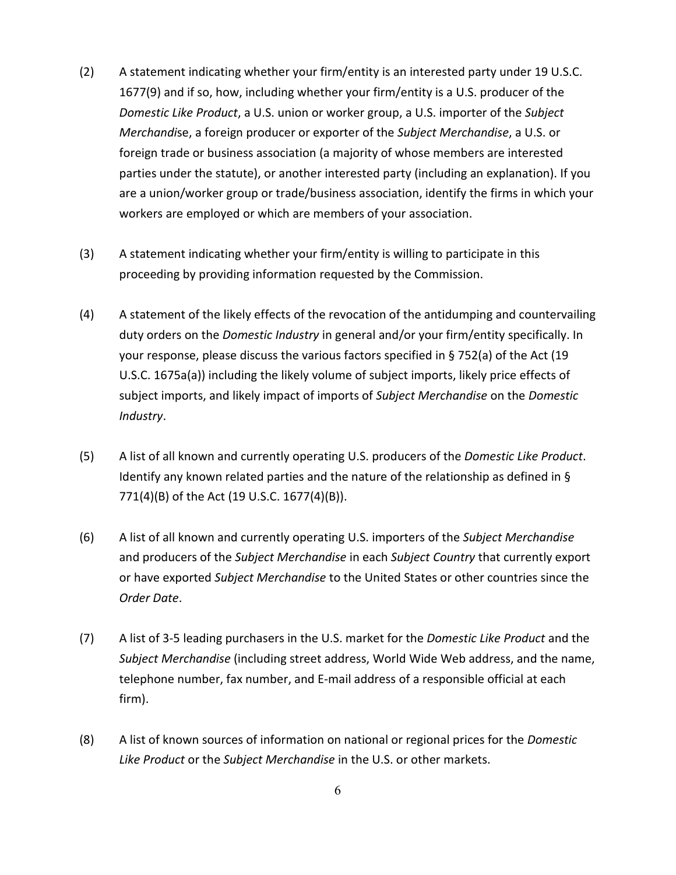- (2) A statement indicating whether your firm/entity is an interested party under 19 U.S.C. 1677(9) and if so, how, including whether your firm/entity is a U.S. producer of the *Domestic Like Product*, a U.S. union or worker group, a U.S. importer of the *Subject Merchandi*se, a foreign producer or exporter of the *Subject Merchandise*, a U.S. or foreign trade or business association (a majority of whose members are interested parties under the statute), or another interested party (including an explanation). If you are a union/worker group or trade/business association, identify the firms in which your workers are employed or which are members of your association.
- (3) A statement indicating whether your firm/entity is willing to participate in this proceeding by providing information requested by the Commission.
- (4) A statement of the likely effects of the revocation of the antidumping and countervailing duty orders on the *Domestic Industry* in general and/or your firm/entity specifically. In your response, please discuss the various factors specified in § 752(a) of the Act (19 U.S.C. 1675a(a)) including the likely volume of subject imports, likely price effects of subject imports, and likely impact of imports of *Subject Merchandise* on the *Domestic Industry*.
- (5) A list of all known and currently operating U.S. producers of the *Domestic Like Product*. Identify any known related parties and the nature of the relationship as defined in § 771(4)(B) of the Act (19 U.S.C. 1677(4)(B)).
- (6) A list of all known and currently operating U.S. importers of the *Subject Merchandise* and producers of the *Subject Merchandise* in each *Subject Country* that currently export or have exported *Subject Merchandise* to the United States or other countries since the *Order Date*.
- (7) A list of 3-5 leading purchasers in the U.S. market for the *Domestic Like Product* and the *Subject Merchandise* (including street address, World Wide Web address, and the name, telephone number, fax number, and E-mail address of a responsible official at each firm).
- (8) A list of known sources of information on national or regional prices for the *Domestic Like Product* or the *Subject Merchandise* in the U.S. or other markets.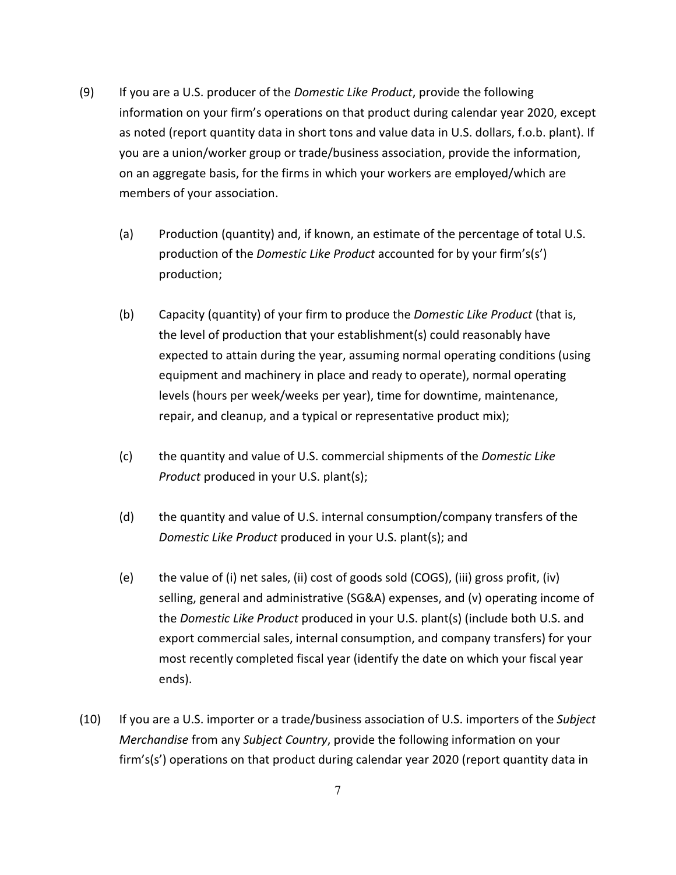- (9) If you are a U.S. producer of the *Domestic Like Product*, provide the following information on your firm's operations on that product during calendar year 2020, except as noted (report quantity data in short tons and value data in U.S. dollars, f.o.b. plant). If you are a union/worker group or trade/business association, provide the information, on an aggregate basis, for the firms in which your workers are employed/which are members of your association.
	- (a) Production (quantity) and, if known, an estimate of the percentage of total U.S. production of the *Domestic Like Product* accounted for by your firm's(s') production;
	- (b) Capacity (quantity) of your firm to produce the *Domestic Like Product* (that is, the level of production that your establishment(s) could reasonably have expected to attain during the year, assuming normal operating conditions (using equipment and machinery in place and ready to operate), normal operating levels (hours per week/weeks per year), time for downtime, maintenance, repair, and cleanup, and a typical or representative product mix);
	- (c) the quantity and value of U.S. commercial shipments of the *Domestic Like Product* produced in your U.S. plant(s);
	- (d) the quantity and value of U.S. internal consumption/company transfers of the *Domestic Like Product* produced in your U.S. plant(s); and
	- (e) the value of (i) net sales, (ii) cost of goods sold (COGS), (iii) gross profit, (iv) selling, general and administrative (SG&A) expenses, and (v) operating income of the *Domestic Like Product* produced in your U.S. plant(s) (include both U.S. and export commercial sales, internal consumption, and company transfers) for your most recently completed fiscal year (identify the date on which your fiscal year ends).
- (10) If you are a U.S. importer or a trade/business association of U.S. importers of the *Subject Merchandise* from any *Subject Country*, provide the following information on your firm's(s') operations on that product during calendar year 2020 (report quantity data in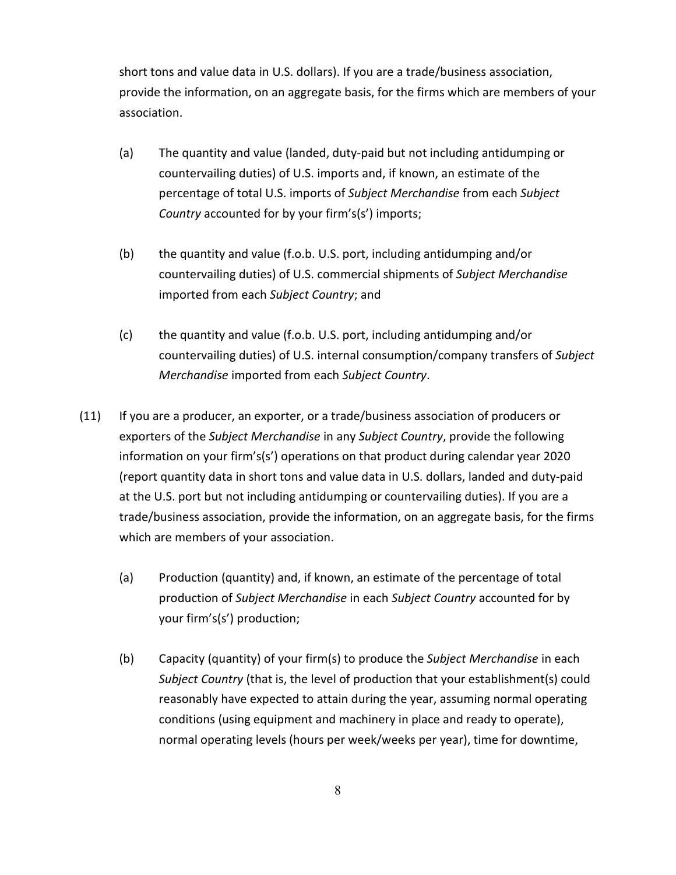short tons and value data in U.S. dollars). If you are a trade/business association, provide the information, on an aggregate basis, for the firms which are members of your association.

- (a) The quantity and value (landed, duty-paid but not including antidumping or countervailing duties) of U.S. imports and, if known, an estimate of the percentage of total U.S. imports of *Subject Merchandise* from each *Subject Country* accounted for by your firm's(s') imports;
- (b) the quantity and value (f.o.b. U.S. port, including antidumping and/or countervailing duties) of U.S. commercial shipments of *Subject Merchandise* imported from each *Subject Country*; and
- (c) the quantity and value (f.o.b. U.S. port, including antidumping and/or countervailing duties) of U.S. internal consumption/company transfers of *Subject Merchandise* imported from each *Subject Country*.
- (11) If you are a producer, an exporter, or a trade/business association of producers or exporters of the *Subject Merchandise* in any *Subject Country*, provide the following information on your firm's(s') operations on that product during calendar year 2020 (report quantity data in short tons and value data in U.S. dollars, landed and duty-paid at the U.S. port but not including antidumping or countervailing duties). If you are a trade/business association, provide the information, on an aggregate basis, for the firms which are members of your association.
	- (a) Production (quantity) and, if known, an estimate of the percentage of total production of *Subject Merchandise* in each *Subject Country* accounted for by your firm's(s') production;
	- (b) Capacity (quantity) of your firm(s) to produce the *Subject Merchandise* in each *Subject Country* (that is, the level of production that your establishment(s) could reasonably have expected to attain during the year, assuming normal operating conditions (using equipment and machinery in place and ready to operate), normal operating levels (hours per week/weeks per year), time for downtime,